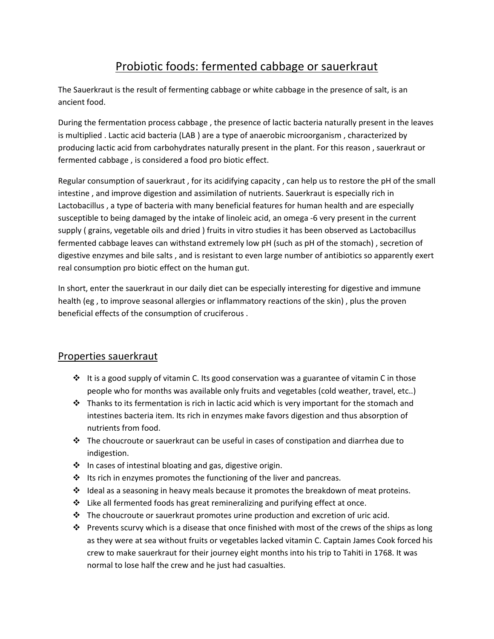## Probiotic foods: fermented cabbage or sauerkraut

The Sauerkraut is the result of fermenting cabbage or white cabbage in the presence of salt, is an ancient food.

During the fermentation process cabbage , the presence of lactic bacteria naturally present in the leaves is multiplied . Lactic acid bacteria (LAB ) are a type of anaerobic microorganism , characterized by producing lactic acid from carbohydrates naturally present in the plant. For this reason , sauerkraut or fermented cabbage , is considered a food pro biotic effect.

Regular consumption of sauerkraut , for its acidifying capacity , can help us to restore the pH of the small intestine , and improve digestion and assimilation of nutrients. Sauerkraut is especially rich in Lactobacillus , a type of bacteria with many beneficial features for human health and are especially susceptible to being damaged by the intake of linoleic acid, an omega -6 very present in the current supply ( grains, vegetable oils and dried ) fruits in vitro studies it has been observed as Lactobacillus fermented cabbage leaves can withstand extremely low pH (such as pH of the stomach) , secretion of digestive enzymes and bile salts , and is resistant to even large number of antibiotics so apparently exert real consumption pro biotic effect on the human gut.

In short, enter the sauerkraut in our daily diet can be especially interesting for digestive and immune health (eg , to improve seasonal allergies or inflammatory reactions of the skin) , plus the proven beneficial effects of the consumption of cruciferous .

## Properties sauerkraut

- $\cdot \cdot$  It is a good supply of vitamin C. Its good conservation was a guarantee of vitamin C in those people who for months was available only fruits and vegetables (cold weather, travel, etc..)
- $\cdot \cdot$  Thanks to its fermentation is rich in lactic acid which is very important for the stomach and intestines bacteria item. Its rich in enzymes make favors digestion and thus absorption of nutrients from food.
- $\cdot \cdot$  The choucroute or sauerkraut can be useful in cases of constipation and diarrhea due to indigestion.
- $\cdot \cdot$  In cases of intestinal bloating and gas, digestive origin.
- $\cdot \cdot$  Its rich in enzymes promotes the functioning of the liver and pancreas.
- \* Ideal as a seasoning in heavy meals because it promotes the breakdown of meat proteins.
- $\div$  Like all fermented foods has great remineralizing and purifying effect at once.
- $\div$  The choucroute or sauerkraut promotes urine production and excretion of uric acid.
- Prevents scurvy which is a disease that once finished with most of the crews of the ships as long as they were at sea without fruits or vegetables lacked vitamin C. Captain James Cook forced his crew to make sauerkraut for their journey eight months into his trip to Tahiti in 1768. It was normal to lose half the crew and he just had casualties.